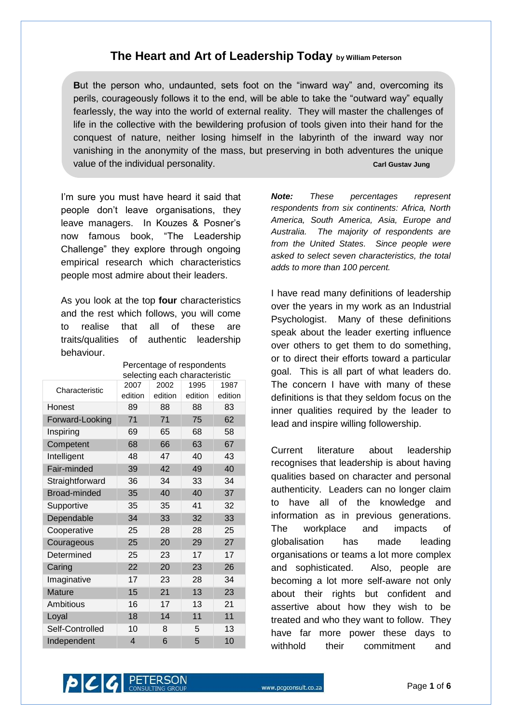## **The Heart and Art of Leadership Today by William Peterson**

**B**ut the person who, undaunted, sets foot on the "inward way" and, overcoming its perils, courageously follows it to the end, will be able to take the "outward way" equally fearlessly, the way into the world of external reality. They will master the challenges of life in the collective with the bewildering profusion of tools given into their hand for the conquest of nature, neither losing himself in the labyrinth of the inward way nor vanishing in the anonymity of the mass, but preserving in both adventures the unique value of the individual personality. **Carl Gustav Jung** Carl Gustav Jung

I'm sure you must have heard it said that people don"t leave organisations, they leave managers. In Kouzes & Posner"s now famous book, "The Leadership Challenge" they explore through ongoing empirical research which characteristics people most admire about their leaders.

As you look at the top **four** characteristics and the rest which follows, you will come to realise that all of these are traits/qualities of authentic leadership behaviour.

|                     | selecting each characteristic |         |         |         |
|---------------------|-------------------------------|---------|---------|---------|
| Characteristic      | 2007                          | 2002    | 1995    | 1987    |
|                     | edition                       | edition | edition | edition |
| Honest              | 89                            | 88      | 88      | 83      |
| Forward-Looking     | 71                            | 71      | 75      | 62      |
| Inspiring           | 69                            | 65      | 68      | 58      |
| Competent           | 68                            | 66      | 63      | 67      |
| Intelligent         | 48                            | 47      | 40      | 43      |
| Fair-minded         | 39                            | 42      | 49      | 40      |
| Straightforward     | 36                            | 34      | 33      | 34      |
| <b>Broad-minded</b> | 35                            | 40      | 40      | 37      |
| Supportive          | 35                            | 35      | 41      | 32      |
| Dependable          | 34                            | 33      | 32      | 33      |
| Cooperative         | 25                            | 28      | 28      | 25      |
| Courageous          | 25                            | 20      | 29      | 27      |
| Determined          | 25                            | 23      | 17      | 17      |
| Caring              | 22                            | 20      | 23      | 26      |
| Imaginative         | 17                            | 23      | 28      | 34      |
| <b>Mature</b>       | 15                            | 21      | 13      | 23      |
| Ambitious           | 16                            | 17      | 13      | 21      |
| Loyal               | 18                            | 14      | 11      | 11      |
| Self-Controlled     | 10                            | 8       | 5       | 13      |
| Independent         | 4                             | 6       | 5       | 10      |

Percentage of respondents

*Note: These percentages represent respondents from six continents: Africa, North America, South America, Asia, Europe and Australia. The majority of respondents are from the United States. Since people were asked to select seven characteristics, the total adds to more than 100 percent.*

I have read many definitions of leadership over the years in my work as an Industrial Psychologist. Many of these definitions speak about the leader exerting influence over others to get them to do something, or to direct their efforts toward a particular goal. This is all part of what leaders do. The concern I have with many of these definitions is that they seldom focus on the inner qualities required by the leader to lead and inspire willing followership.

Current literature about leadership recognises that leadership is about having qualities based on character and personal authenticity. Leaders can no longer claim to have all of the knowledge and information as in previous generations. The workplace and impacts of globalisation has made leading organisations or teams a lot more complex and sophisticated. Also, people are becoming a lot more self-aware not only about their rights but confident and assertive about how they wish to be treated and who they want to follow. They have far more power these days to withhold their commitment and

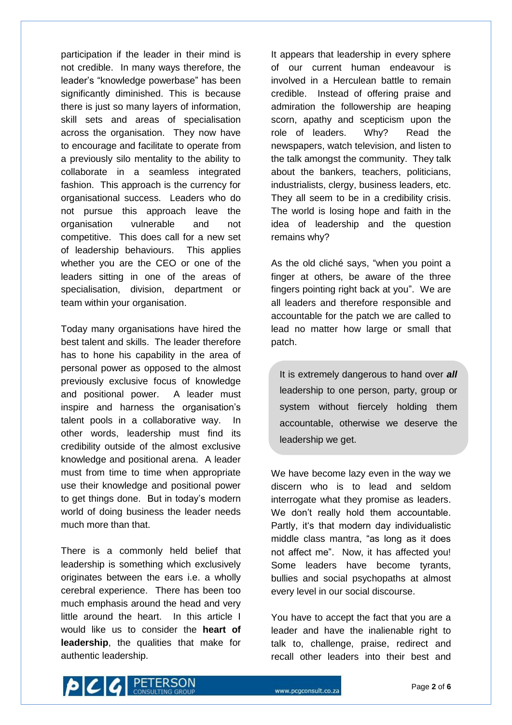participation if the leader in their mind is not credible. In many ways therefore, the leader"s "knowledge powerbase" has been significantly diminished. This is because there is just so many layers of information, skill sets and areas of specialisation across the organisation. They now have to encourage and facilitate to operate from a previously silo mentality to the ability to collaborate in a seamless integrated fashion. This approach is the currency for organisational success. Leaders who do not pursue this approach leave the organisation vulnerable and not competitive. This does call for a new set of leadership behaviours. This applies whether you are the CEO or one of the leaders sitting in one of the areas of specialisation, division, department or team within your organisation.

Today many organisations have hired the best talent and skills. The leader therefore has to hone his capability in the area of personal power as opposed to the almost previously exclusive focus of knowledge and positional power. A leader must inspire and harness the organisation's talent pools in a collaborative way. In other words, leadership must find its credibility outside of the almost exclusive knowledge and positional arena. A leader must from time to time when appropriate use their knowledge and positional power to get things done. But in today"s modern world of doing business the leader needs much more than that.

There is a commonly held belief that leadership is something which exclusively originates between the ears i.e. a wholly cerebral experience. There has been too much emphasis around the head and very little around the heart. In this article I would like us to consider the **heart of leadership**, the qualities that make for authentic leadership.

It appears that leadership in every sphere of our current human endeavour is involved in a Herculean battle to remain credible. Instead of offering praise and admiration the followership are heaping scorn, apathy and scepticism upon the role of leaders. Why? Read the newspapers, watch television, and listen to the talk amongst the community. They talk about the bankers, teachers, politicians, industrialists, clergy, business leaders, etc. They all seem to be in a credibility crisis. The world is losing hope and faith in the idea of leadership and the question remains why?

As the old cliché says, "when you point a finger at others, be aware of the three fingers pointing right back at you". We are all leaders and therefore responsible and accountable for the patch we are called to lead no matter how large or small that patch.

It is extremely dangerous to hand over *all* leadership to one person, party, group or system without fiercely holding them accountable, otherwise we deserve the leadership we get.

We have become lazy even in the way we discern who is to lead and seldom interrogate what they promise as leaders. We don't really hold them accountable. Partly, it's that modern day individualistic middle class mantra, "as long as it does not affect me". Now, it has affected you! Some leaders have become tyrants, bullies and social psychopaths at almost every level in our social discourse.

You have to accept the fact that you are a leader and have the inalienable right to talk to, challenge, praise, redirect and recall other leaders into their best and

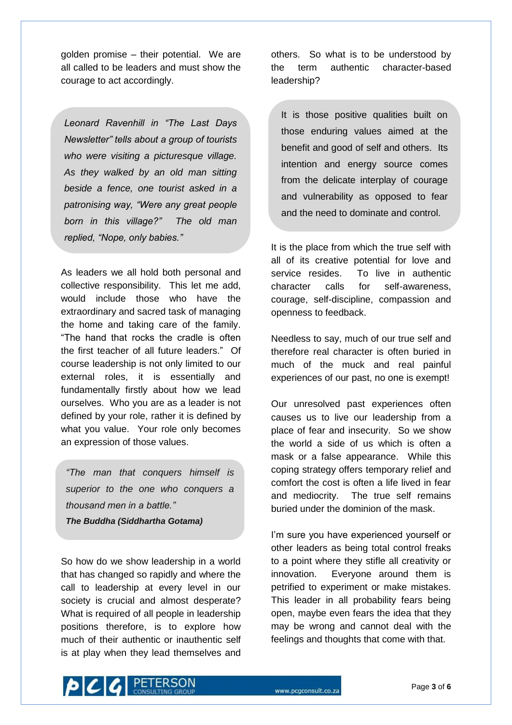golden promise – their potential. We are all called to be leaders and must show the courage to act accordingly.

*Leonard Ravenhill in "The Last Days Newsletter" tells about a group of tourists who were visiting a picturesque village. As they walked by an old man sitting beside a fence, one tourist asked in a patronising way, "Were any great people born in this village?" The old man replied, "Nope, only babies."*

As leaders we all hold both personal and collective responsibility. This let me add, would include those who have the extraordinary and sacred task of managing the home and taking care of the family. "The hand that rocks the cradle is often the first teacher of all future leaders." Of course leadership is not only limited to our external roles, it is essentially and fundamentally firstly about how we lead ourselves. Who you are as a leader is not defined by your role, rather it is defined by what you value. Your role only becomes an expression of those values.

*"The man that conquers himself is superior to the one who conquers a thousand men in a battle." The Buddha (Siddhartha Gotama)*

So how do we show leadership in a world that has changed so rapidly and where the call to leadership at every level in our society is crucial and almost desperate? What is required of all people in leadership positions therefore, is to explore how much of their authentic or inauthentic self is at play when they lead themselves and others. So what is to be understood by the term authentic character-based leadership?

It is those positive qualities built on those enduring values aimed at the benefit and good of self and others. Its intention and energy source comes from the delicate interplay of courage and vulnerability as opposed to fear and the need to dominate and control.

It is the place from which the true self with all of its creative potential for love and service resides. To live in authentic character calls for self-awareness, courage, self-discipline, compassion and openness to feedback.

Needless to say, much of our true self and therefore real character is often buried in much of the muck and real painful experiences of our past, no one is exempt!

Our unresolved past experiences often causes us to live our leadership from a place of fear and insecurity. So we show the world a side of us which is often a mask or a false appearance. While this coping strategy offers temporary relief and comfort the cost is often a life lived in fear and mediocrity. The true self remains buried under the dominion of the mask.

I'm sure you have experienced yourself or other leaders as being total control freaks to a point where they stifle all creativity or innovation. Everyone around them is petrified to experiment or make mistakes. This leader in all probability fears being open, maybe even fears the idea that they may be wrong and cannot deal with the feelings and thoughts that come with that.

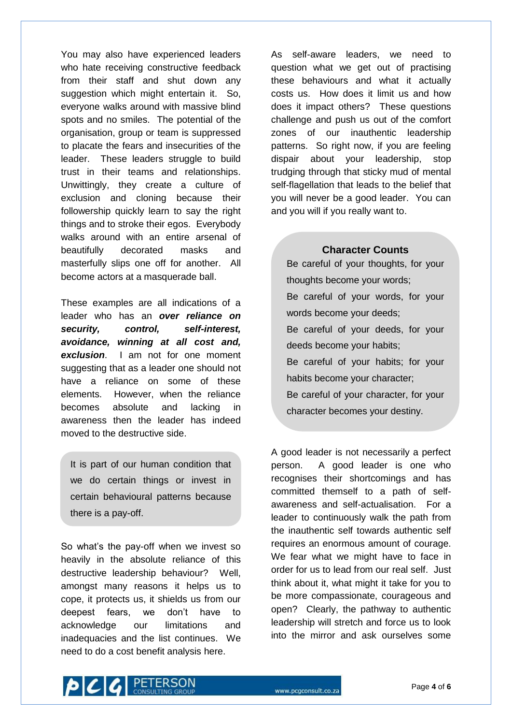You may also have experienced leaders who hate receiving constructive feedback from their staff and shut down any suggestion which might entertain it. So, everyone walks around with massive blind spots and no smiles. The potential of the organisation, group or team is suppressed to placate the fears and insecurities of the leader. These leaders struggle to build trust in their teams and relationships. Unwittingly, they create a culture of exclusion and cloning because their followership quickly learn to say the right things and to stroke their egos. Everybody walks around with an entire arsenal of beautifully decorated masks and masterfully slips one off for another. All become actors at a masquerade ball.

These examples are all indications of a leader who has an *over reliance on security, control, self-interest, avoidance, winning at all cost and, exclusion*. I am not for one moment suggesting that as a leader one should not have a reliance on some of these elements. However, when the reliance becomes absolute and lacking in awareness then the leader has indeed moved to the destructive side.

It is part of our human condition that we do certain things or invest in certain behavioural patterns because there is a pay-off.

So what"s the pay-off when we invest so heavily in the absolute reliance of this destructive leadership behaviour? Well, amongst many reasons it helps us to cope, it protects us, it shields us from our deepest fears, we don't have to acknowledge our limitations and inadequacies and the list continues. We need to do a cost benefit analysis here.

As self-aware leaders, we need to question what we get out of practising these behaviours and what it actually costs us. How does it limit us and how does it impact others? These questions challenge and push us out of the comfort zones of our inauthentic leadership patterns. So right now, if you are feeling dispair about your leadership, stop trudging through that sticky mud of mental self-flagellation that leads to the belief that you will never be a good leader. You can and you will if you really want to.

## **Character Counts**

Be careful of your thoughts, for your thoughts become your words; Be careful of your words, for your words become your deeds; Be careful of your deeds, for your deeds become your habits; Be careful of your habits; for your habits become your character; Be careful of your character, for your character becomes your destiny.

A good leader is not necessarily a perfect person. A good leader is one who recognises their shortcomings and has committed themself to a path of selfawareness and self-actualisation. For a leader to continuously walk the path from the inauthentic self towards authentic self requires an enormous amount of courage. We fear what we might have to face in order for us to lead from our real self. Just think about it, what might it take for you to be more compassionate, courageous and open? Clearly, the pathway to authentic leadership will stretch and force us to look into the mirror and ask ourselves some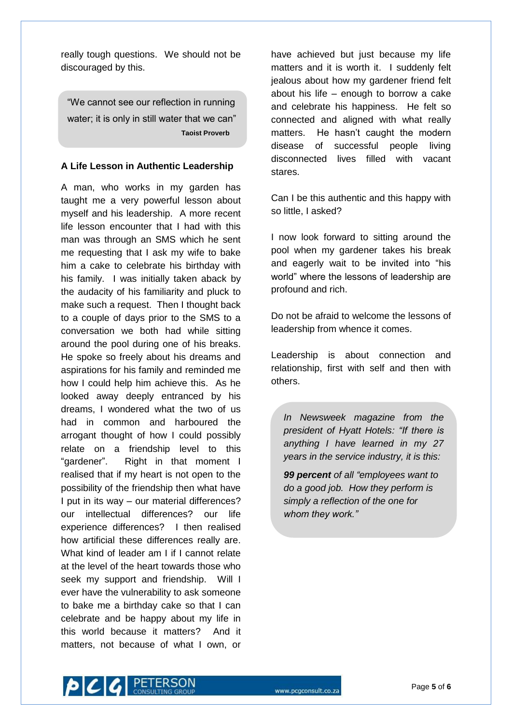really tough questions. We should not be discouraged by this.

"We cannot see our reflection in running water; it is only in still water that we can"  **Taoist Proverb**

## **A Life Lesson in Authentic Leadership**

A man, who works in my garden has taught me a very powerful lesson about myself and his leadership. A more recent life lesson encounter that I had with this man was through an SMS which he sent me requesting that I ask my wife to bake him a cake to celebrate his birthday with his family. I was initially taken aback by the audacity of his familiarity and pluck to make such a request. Then I thought back to a couple of days prior to the SMS to a conversation we both had while sitting around the pool during one of his breaks. He spoke so freely about his dreams and aspirations for his family and reminded me how I could help him achieve this. As he looked away deeply entranced by his dreams, I wondered what the two of us had in common and harboured the arrogant thought of how I could possibly relate on a friendship level to this "gardener". Right in that moment I realised that if my heart is not open to the possibility of the friendship then what have I put in its way – our material differences? our intellectual differences? our life experience differences? I then realised how artificial these differences really are. What kind of leader am I if I cannot relate at the level of the heart towards those who seek my support and friendship. Will I ever have the vulnerability to ask someone to bake me a birthday cake so that I can celebrate and be happy about my life in this world because it matters? And it matters, not because of what I own, or

have achieved but just because my life matters and it is worth it. I suddenly felt jealous about how my gardener friend felt about his life – enough to borrow a cake and celebrate his happiness. He felt so connected and aligned with what really matters. He hasn't caught the modern disease of successful people living disconnected lives filled with vacant stares.

Can I be this authentic and this happy with so little, I asked?

I now look forward to sitting around the pool when my gardener takes his break and eagerly wait to be invited into "his world" where the lessons of leadership are profound and rich.

Do not be afraid to welcome the lessons of leadership from whence it comes.

Leadership is about connection and relationship, first with self and then with others.

*In Newsweek magazine from the president of Hyatt Hotels: "If there is anything I have learned in my 27 years in the service industry, it is this:* 

*99 percent of all "employees want to do a good job. How they perform is simply a reflection of the one for whom they work."*